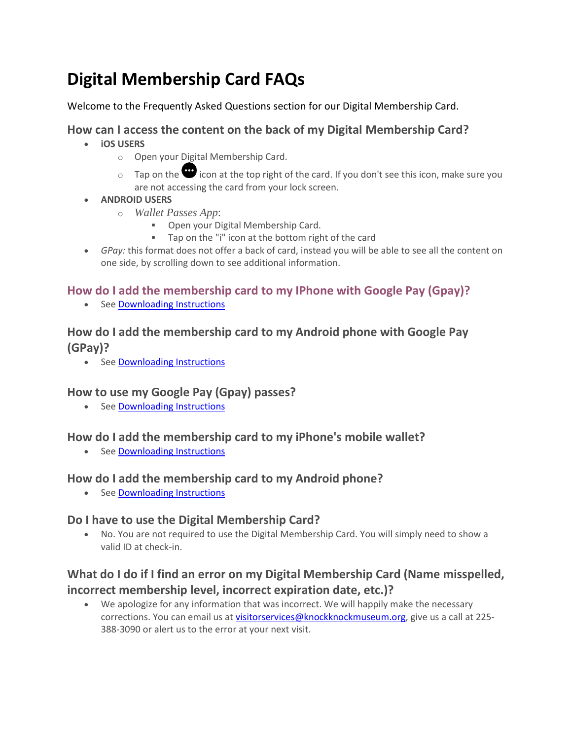# **Digital Membership Card FAQs**

Welcome to the Frequently Asked Questions section for our Digital Membership Card.

#### **[How can I access the content on the back of my Digital Membership](https://support.cuseum.com/hc/en-us/articles/360060892532-How-can-I-access-the-content-on-the-back-of-my-Digital-Memberhsip-Card-) Card?**

- **iOS USERS**
	- o Open your Digital Membership Card.
	- $\circ$  Tap on the  $\bullet$  icon at the top right of the card. If you don't see this icon, make sure you are not accessing the card from your lock screen.
- **ANDROID USERS**
	- o *Wallet Passes App*:
		- Open your Digital Membership Card.
		- Tap on the "i" icon at the bottom right of the card
- *GPay:* this format does not offer a back of card, instead you will be able to see all the content on one side, by scrolling down to see additional information.

### **[How do I add the membership card to my IPhone with Google Pay \(Gpay\)?](https://support.cuseum.com/hc/en-us/articles/360058503352-How-do-I-add-the-membership-card-to-my-IPhone-with-Google-Pay-Gpay-)**

• Se[e Downloading Instructions](https://knockknockmuseum.org/wp-content/uploads/2022/01/How-to-Download-Digita-Membership-Card.pdf)

## **[How do I add the membership card to my Android phone with Google Pay](https://support.cuseum.com/hc/en-us/articles/360058503052-How-do-I-add-the-membership-card-to-my-Android-phone-with-Google-Pay-GPay-)  [\(GPay\)?](https://support.cuseum.com/hc/en-us/articles/360058503052-How-do-I-add-the-membership-card-to-my-Android-phone-with-Google-Pay-GPay-)**

• Se[e Downloading Instructions](https://knockknockmuseum.org/wp-content/uploads/2022/01/How-to-Download-Digita-Membership-Card.pdf)

## **[How to use my Google Pay \(Gpay\) passes?](https://support.cuseum.com/hc/en-us/articles/360058940831-How-to-use-my-Google-Pay-Gpay-passes-)**

• Se[e Downloading Instructions](https://knockknockmuseum.org/wp-content/uploads/2022/01/How-to-Download-Digita-Membership-Card.pdf)

## **[How do I add the membership card to my iPhone's mobile wallet?](https://support.cuseum.com/hc/en-us/articles/360048740591-How-do-I-add-the-membership-card-to-my-iPhone-s-mobile-wallet-)**

• Se[e Downloading Instructions](https://knockknockmuseum.org/wp-content/uploads/2022/01/How-to-Download-Digita-Membership-Card.pdf)

#### **[How do I add the membership card to my Android phone?](https://support.cuseum.com/hc/en-us/articles/360048740651-How-do-I-add-the-membership-card-to-my-Android-phone-)**

• Se[e Downloading Instructions](https://knockknockmuseum.org/wp-content/uploads/2022/01/How-to-Download-Digita-Membership-Card.pdf)

## **Do I have to use the Digital Membership Card?**

• No. You are not required to use the Digital Membership Card. You will simply need to show a valid ID at check-in.

## **What do I do if I find an error on my Digital Membership Card (Name misspelled, incorrect membership level, incorrect expiration date, etc.)?**

• We apologize for any information that was incorrect. We will happily make the necessary corrections. You can email us at [visitorservices@knockknockmuseum.org,](mailto:visitorservices@knockknockmuseum.org) give us a call at 225-388-3090 or alert us to the error at your next visit.